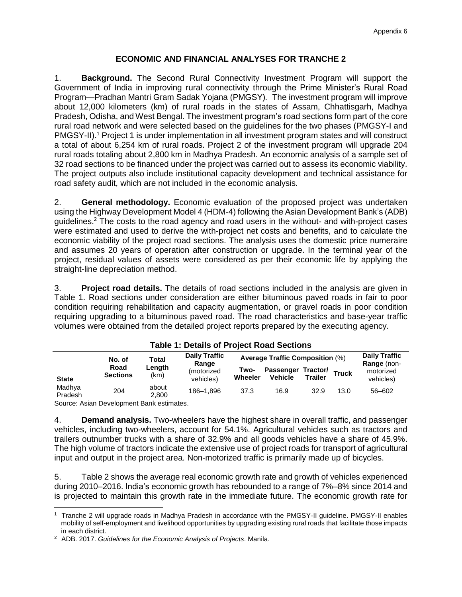# **ECONOMIC AND FINANCIAL ANALYSES FOR TRANCHE 2**

1. **Background.** The Second Rural Connectivity Investment Program will support the Government of India in improving rural connectivity through the Prime Minister's Rural Road Program—Pradhan Mantri Gram Sadak Yojana (PMGSY)*.* The investment program will improve about 12,000 kilometers (km) of rural roads in the states of Assam, Chhattisgarh, Madhya Pradesh, Odisha, and West Bengal. The investment program's road sections form part of the core rural road network and were selected based on the guidelines for the two phases (PMGSY-I and PMGSY-II). <sup>1</sup> Project 1 is under implementation in all investment program states and will construct a total of about 6,254 km of rural roads. Project 2 of the investment program will upgrade 204 rural roads totaling about 2,800 km in Madhya Pradesh. An economic analysis of a sample set of 32 road sections to be financed under the project was carried out to assess its economic viability. The project outputs also include institutional capacity development and technical assistance for road safety audit, which are not included in the economic analysis.

2. **General methodology.** Economic evaluation of the proposed project was undertaken using the Highway Development Model 4 (HDM-4) following the Asian Development Bank's (ADB) guidelines. <sup>2</sup> The costs to the road agency and road users in the without- and with-project cases were estimated and used to derive the with-project net costs and benefits, and to calculate the economic viability of the project road sections. The analysis uses the domestic price numeraire and assumes 20 years of operation after construction or upgrade. In the terminal year of the project, residual values of assets were considered as per their economic life by applying the straight-line depreciation method.

3. **Project road details.** The details of road sections included in the analysis are given in Table 1. Road sections under consideration are either bituminous paved roads in fair to poor condition requiring rehabilitation and capacity augmentation, or gravel roads in poor condition requiring upgrading to a bituminous paved road. The road characteristics and base-year traffic volumes were obtained from the detailed project reports prepared by the executing agency.

|                   | No. of                  | Total          | <b>Daily Traffic</b><br>Range | <b>Average Traffic Composition (%)</b> | <b>Daily Traffic</b>                 |                |              |                                       |
|-------------------|-------------------------|----------------|-------------------------------|----------------------------------------|--------------------------------------|----------------|--------------|---------------------------------------|
| <b>State</b>      | Road<br><b>Sections</b> | Length<br>(km) | (motorized<br>vehicles)       | Two-<br><b>Wheeler</b>                 | Passenger Tractor/<br><b>Vehicle</b> | <b>Trailer</b> | <b>Truck</b> | Range (non-<br>motorized<br>vehicles) |
| Madhya<br>Pradesh | 204                     | about<br>2.800 | 186-1.896                     | 37.3                                   | 16.9                                 | 32.9           | 13.0         | 56-602                                |
| $\sim$            |                         | $\sim$         |                               |                                        |                                      |                |              |                                       |

**Table 1: Details of Project Road Sections**

Source: Asian Development Bank estimates.

4. **Demand analysis.** Two-wheelers have the highest share in overall traffic, and passenger vehicles, including two-wheelers, account for 54.1%. Agricultural vehicles such as tractors and trailers outnumber trucks with a share of 32.9% and all goods vehicles have a share of 45.9%. The high volume of tractors indicate the extensive use of project roads for transport of agricultural input and output in the project area. Non-motorized traffic is primarily made up of bicycles.

5. Table 2 shows the average real economic growth rate and growth of vehicles experienced during 2010–2016. India's economic growth has rebounded to a range of 7%–8% since 2014 and is projected to maintain this growth rate in the immediate future. The economic growth rate for

 $\overline{a}$ 1 Tranche 2 will upgrade roads in Madhya Pradesh in accordance with the PMGSY-II guideline. PMGSY-II enables mobility of self-employment and livelihood opportunities by upgrading existing rural roads that facilitate those impacts in each district.

<sup>2</sup> ADB. 2017. *Guidelines for the Economic Analysis of Projects*. Manila.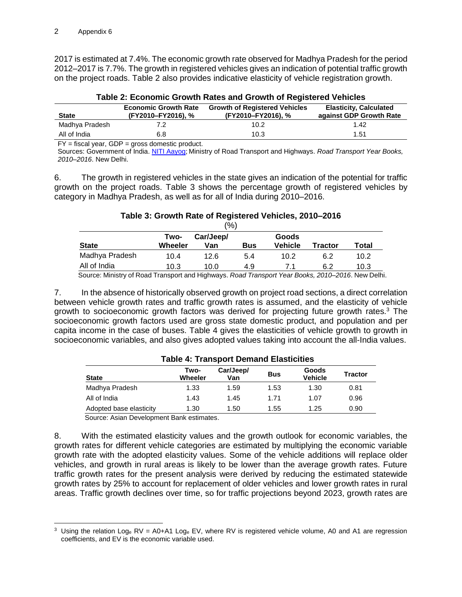2017 is estimated at 7.4%. The economic growth rate observed for Madhya Pradesh for the period 2012–2017 is 7.7%. The growth in registered vehicles gives an indication of potential traffic growth on the project roads. Table 2 also provides indicative elasticity of vehicle registration growth.

|                |                             | Table 2. Economic Orowan Rates and Orowan or Registered vehicles |                               |
|----------------|-----------------------------|------------------------------------------------------------------|-------------------------------|
|                | <b>Economic Growth Rate</b> | <b>Growth of Registered Vehicles</b>                             | <b>Elasticity, Calculated</b> |
| <b>State</b>   | (FY2010-FY2016), %          | (FY2010-FY2016), %                                               | against GDP Growth Rate       |
| Madhya Pradesh | 7.2                         | 10.2                                                             | 1.42                          |
| All of India   | 6.8                         | 10.3                                                             | 1.51                          |

|  |  | Table 2: Economic Growth Rates and Growth of Registered Vehicles |  |
|--|--|------------------------------------------------------------------|--|
|  |  |                                                                  |  |

 $FY =$  fiscal year,  $GDP =$  gross domestic product.

Sources: Government of India. [NITI Aayog;](https://asiandevbank-my.sharepoint.com/personal/aheriawan_adb_org/Documents/IND%2048226-002%20Second%20RCIP/Tranche%202/Processing/06%20Management%20Review/1%20SATC%20QAE/PFR%20Report%20and%20Appendces/niti.gov.in) Ministry of Road Transport and Highways. *Road Transport Year Books, 2010–2016*. New Delhi.

6. The growth in registered vehicles in the state gives an indication of the potential for traffic growth on the project roads. Table 3 shows the percentage growth of registered vehicles by category in Madhya Pradesh, as well as for all of India during 2010–2016.

# **Table 3: Growth Rate of Registered Vehicles, 2010–2016**

|                |                 |                  | $(\% )$    |                         |         |       |
|----------------|-----------------|------------------|------------|-------------------------|---------|-------|
| <b>State</b>   | Two-<br>Wheeler | Car/Jeep/<br>Van | <b>Bus</b> | Goods<br><b>Vehicle</b> | Tractor | Total |
| Madhya Pradesh | 10.4            | 12.6             | 5.4        | 10.2                    | 6.2     | 10.2  |
| All of India   | 10.3            | 10.0             | 4.9        | 71                      | 6.2     | 10.3  |

Source: Ministry of Road Transport and Highways. *Road Transport Year Books, 2010–2016*. New Delhi.

7. In the absence of historically observed growth on project road sections, a direct correlation between vehicle growth rates and traffic growth rates is assumed, and the elasticity of vehicle growth to socioeconomic growth factors was derived for projecting future growth rates.<sup>3</sup> The socioeconomic growth factors used are gross state domestic product, and population and per capita income in the case of buses. Table 4 gives the elasticities of vehicle growth to growth in socioeconomic variables, and also gives adopted values taking into account the all-India values.

| <b>State</b>            | Two-<br>Wheeler | Car/Jeep/<br>Van | <b>Bus</b> | Goods<br><b>Vehicle</b> | <b>Tractor</b> |
|-------------------------|-----------------|------------------|------------|-------------------------|----------------|
| Madhya Pradesh          | 1.33            | 1.59             | 1.53       | 1.30                    | 0.81           |
| All of India            | 1.43            | 1.45             | 1.71       | 1.07                    | 0.96           |
| Adopted base elasticity | 1.30            | 1.50             | 1.55       | 1.25                    | 0.90           |

# **Table 4: Transport Demand Elasticities**

Source: Asian Development Bank estimates.

8. With the estimated elasticity values and the growth outlook for economic variables, the growth rates for different vehicle categories are estimated by multiplying the economic variable growth rate with the adopted elasticity values. Some of the vehicle additions will replace older vehicles, and growth in rural areas is likely to be lower than the average growth rates. Future traffic growth rates for the present analysis were derived by reducing the estimated statewide growth rates by 25% to account for replacement of older vehicles and lower growth rates in rural areas. Traffic growth declines over time, so for traffic projections beyond 2023, growth rates are

 $\overline{a}$ <sup>3</sup> Using the relation Log<sub>e</sub> RV = A0+A1 Log<sub>e</sub> EV, where RV is registered vehicle volume, A0 and A1 are regression coefficients, and EV is the economic variable used.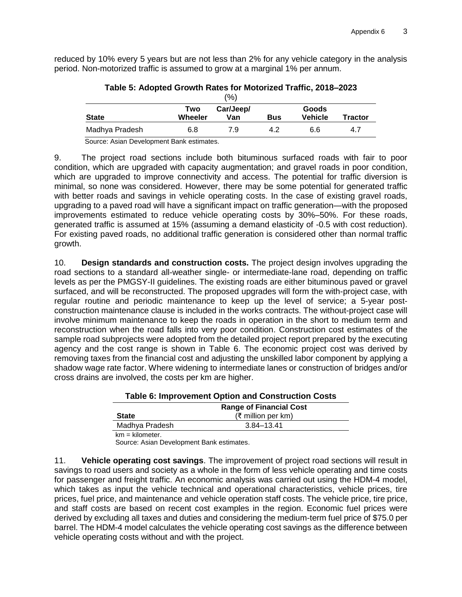reduced by 10% every 5 years but are not less than 2% for any vehicle category in the analysis period. Non-motorized traffic is assumed to grow at a marginal 1% per annum.

|                |                | (%)              |            |                         |                |
|----------------|----------------|------------------|------------|-------------------------|----------------|
| <b>State</b>   | Two<br>Wheeler | Car/Jeep/<br>Van | <b>Bus</b> | Goods<br><b>Vehicle</b> | <b>Tractor</b> |
| Madhya Pradesh | 6.8            | 7.9              | 4.2        | 6.6                     | 4.7            |

**Table 5: Adopted Growth Rates for Motorized Traffic, 2018–2023**

Source: Asian Development Bank estimates.

9. The project road sections include both bituminous surfaced roads with fair to poor condition, which are upgraded with capacity augmentation; and gravel roads in poor condition, which are upgraded to improve connectivity and access. The potential for traffic diversion is minimal, so none was considered. However, there may be some potential for generated traffic with better roads and savings in vehicle operating costs. In the case of existing gravel roads, upgrading to a paved road will have a significant impact on traffic generation—with the proposed improvements estimated to reduce vehicle operating costs by 30%–50%. For these roads, generated traffic is assumed at 15% (assuming a demand elasticity of -0.5 with cost reduction). For existing paved roads, no additional traffic generation is considered other than normal traffic growth.

10. **Design standards and construction costs.** The project design involves upgrading the road sections to a standard all-weather single- or intermediate-lane road, depending on traffic levels as per the PMGSY-II guidelines. The existing roads are either bituminous paved or gravel surfaced, and will be reconstructed. The proposed upgrades will form the with-project case, with regular routine and periodic maintenance to keep up the level of service; a 5-year postconstruction maintenance clause is included in the works contracts. The without-project case will involve minimum maintenance to keep the roads in operation in the short to medium term and reconstruction when the road falls into very poor condition. Construction cost estimates of the sample road subprojects were adopted from the detailed project report prepared by the executing agency and the cost range is shown in Table 6. The economic project cost was derived by removing taxes from the financial cost and adjusting the unskilled labor component by applying a shadow wage rate factor. Where widening to intermediate lanes or construction of bridges and/or cross drains are involved, the costs per km are higher.

|                   | <b>Range of Financial Cost</b> |
|-------------------|--------------------------------|
| <b>State</b>      | $(₹$ million per km)           |
| Madhya Pradesh    | 3.84–13.41                     |
| $km = kilometer.$ |                                |

Source: Asian Development Bank estimates.

11. **Vehicle operating cost savings**. The improvement of project road sections will result in savings to road users and society as a whole in the form of less vehicle operating and time costs for passenger and freight traffic. An economic analysis was carried out using the HDM-4 model, which takes as input the vehicle technical and operational characteristics, vehicle prices, tire prices, fuel price, and maintenance and vehicle operation staff costs. The vehicle price, tire price, and staff costs are based on recent cost examples in the region. Economic fuel prices were derived by excluding all taxes and duties and considering the medium-term fuel price of \$75.0 per barrel. The HDM-4 model calculates the vehicle operating cost savings as the difference between vehicle operating costs without and with the project.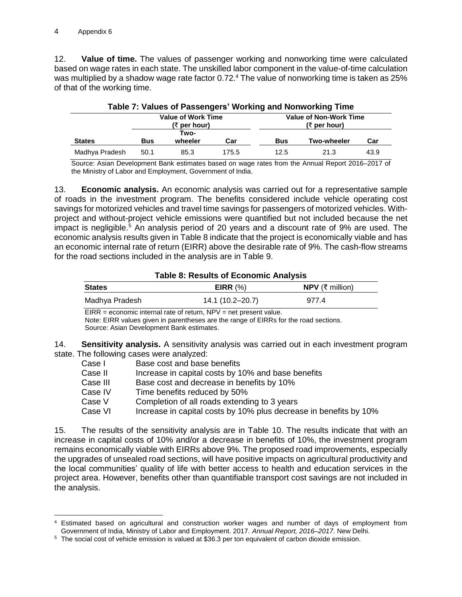$\overline{a}$ 

12. **Value of time.** The values of passenger working and nonworking time were calculated based on wage rates in each state. The unskilled labor component in the value-of-time calculation was multiplied by a shadow wage rate factor 0.72.<sup>4</sup> The value of nonworking time is taken as 25% of that of the working time.

|                |      | <b>Value of Work Time</b>          |       |            | <b>1000 1. YOUGU OF FOUGHT OF HUIRING ONE HUIRDING</b><br><b>Value of Non-Work Time</b> |      |
|----------------|------|------------------------------------|-------|------------|-----------------------------------------------------------------------------------------|------|
| <b>States</b>  | Bus  | $(3)$ per hour)<br>Two-<br>wheeler | Car   | <b>Bus</b> | (₹ per hour)<br><b>Two-wheeler</b>                                                      | Car  |
| Madhya Pradesh | 50.1 | 85.3                               | 175.5 | 12.5       | 21.3                                                                                    | 43.9 |

Source: Asian Development Bank estimates based on wage rates from the Annual Report 2016–2017 of the Ministry of Labor and Employment, Government of India.

13. **Economic analysis.** An economic analysis was carried out for a representative sample of roads in the investment program. The benefits considered include vehicle operating cost savings for motorized vehicles and travel time savings for passengers of motorized vehicles. Withproject and without-project vehicle emissions were quantified but not included because the net impact is negligible.<sup>5</sup> An analysis period of 20 years and a discount rate of 9% are used. The economic analysis results given in Table 8 indicate that the project is economically viable and has an economic internal rate of return (EIRR) above the desirable rate of 9%. The cash-flow streams for the road sections included in the analysis are in Table 9.

# **Table 8: Results of Economic Analysis**

| <b>States</b>  | EIRR $(%)$       | <b>NPV</b> (₹ million) |  |
|----------------|------------------|------------------------|--|
| Madhya Pradesh | 14.1 (10.2-20.7) | 977.4                  |  |

EIRR = economic internal rate of return, NPV = net present value.

Note: EIRR values given in parentheses are the range of EIRRs for the road sections.

Source: Asian Development Bank estimates.

14. **Sensitivity analysis.** A sensitivity analysis was carried out in each investment program state. The following cases were analyzed:

| Case I   | Base cost and base benefits                                       |
|----------|-------------------------------------------------------------------|
| Case II  | Increase in capital costs by 10% and base benefits                |
| Case III | Base cost and decrease in benefits by 10%                         |
| Case IV  | Time benefits reduced by 50%                                      |
| Case V   | Completion of all roads extending to 3 years                      |
| Case VI  | Increase in capital costs by 10% plus decrease in benefits by 10% |

15. The results of the sensitivity analysis are in Table 10. The results indicate that with an increase in capital costs of 10% and/or a decrease in benefits of 10%, the investment program remains economically viable with EIRRs above 9%. The proposed road improvements, especially the upgrades of unsealed road sections, will have positive impacts on agricultural productivity and the local communities' quality of life with better access to health and education services in the project area. However, benefits other than quantifiable transport cost savings are not included in the analysis.

<sup>4</sup> Estimated based on agricultural and construction worker wages and number of days of employment from Government of India, Ministry of Labor and Employment. 2017. *Annual Report, 2016–2017*. New Delhi.

<sup>5</sup> The social cost of vehicle emission is valued at \$36.3 per ton equivalent of carbon dioxide emission.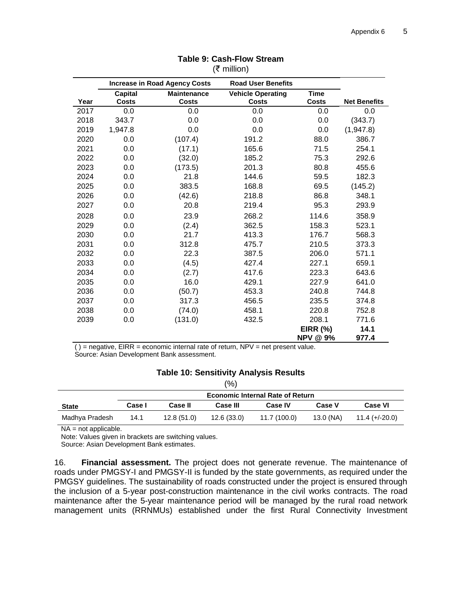|      | <b>Increase in Road Agency Costs</b> |                    |                                                       |                 |                     |
|------|--------------------------------------|--------------------|-------------------------------------------------------|-----------------|---------------------|
|      | <b>Capital</b>                       | <b>Maintenance</b> | <b>Road User Benefits</b><br><b>Vehicle Operating</b> | <b>Time</b>     |                     |
| Year | <b>Costs</b>                         | <b>Costs</b>       | <b>Costs</b>                                          | <b>Costs</b>    | <b>Net Benefits</b> |
| 2017 | 0.0                                  | 0.0                | 0.0                                                   | 0.0             | 0.0                 |
| 2018 | 343.7                                | 0.0                | 0.0                                                   | 0.0             | (343.7)             |
| 2019 | 1,947.8                              | 0.0                | 0.0                                                   | 0.0             | (1,947.8)           |
| 2020 | 0.0                                  | (107.4)            | 191.2                                                 | 88.0            | 386.7               |
| 2021 | 0.0                                  | (17.1)             | 165.6                                                 | 71.5            | 254.1               |
| 2022 | 0.0                                  | (32.0)             | 185.2                                                 | 75.3            | 292.6               |
| 2023 | 0.0                                  | (173.5)            | 201.3                                                 | 80.8            | 455.6               |
| 2024 | 0.0                                  | 21.8               | 144.6                                                 | 59.5            | 182.3               |
| 2025 | 0.0                                  | 383.5              | 168.8                                                 | 69.5            | (145.2)             |
| 2026 | 0.0                                  | (42.6)             | 218.8                                                 | 86.8            | 348.1               |
| 2027 | 0.0                                  | 20.8               | 219.4                                                 | 95.3            | 293.9               |
| 2028 | 0.0                                  | 23.9               | 268.2                                                 | 114.6           | 358.9               |
| 2029 | 0.0                                  | (2.4)              | 362.5                                                 | 158.3           | 523.1               |
| 2030 | 0.0                                  | 21.7               | 413.3                                                 | 176.7           | 568.3               |
| 2031 | 0.0                                  | 312.8              | 475.7                                                 | 210.5           | 373.3               |
| 2032 | 0.0                                  | 22.3               | 387.5                                                 | 206.0           | 571.1               |
| 2033 | 0.0                                  | (4.5)              | 427.4                                                 | 227.1           | 659.1               |
| 2034 | 0.0                                  | (2.7)              | 417.6                                                 | 223.3           | 643.6               |
| 2035 | 0.0                                  | 16.0               | 429.1                                                 | 227.9           | 641.0               |
| 2036 | 0.0                                  | (50.7)             | 453.3                                                 | 240.8           | 744.8               |
| 2037 | 0.0                                  | 317.3              | 456.5                                                 | 235.5           | 374.8               |
| 2038 | 0.0                                  | (74.0)             | 458.1                                                 | 220.8           | 752.8               |
| 2039 | 0.0                                  | (131.0)            | 432.5                                                 | 208.1           | 771.6               |
|      |                                      |                    |                                                       | <b>EIRR (%)</b> | 14.1                |
|      |                                      |                    |                                                       | <b>NPV @ 9%</b> | 977.4               |

#### **Table 9: Cash-Flow Stream**  (₹ million)

 $( )$  = negative, EIRR = economic internal rate of return, NPV = net present value. Source: Asian Development Bank assessment.

#### **Table 10: Sensitivity Analysis Results**  $(0)$

| (70)           |                                         |                |                 |                |               |                  |  |  |
|----------------|-----------------------------------------|----------------|-----------------|----------------|---------------|------------------|--|--|
|                | <b>Economic Internal Rate of Return</b> |                |                 |                |               |                  |  |  |
| <b>State</b>   | Case I                                  | <b>Case II</b> | <b>Case III</b> | <b>Case IV</b> | <b>Case V</b> | <b>Case VI</b>   |  |  |
| Madhya Pradesh | 14.1                                    | 12.8(51.0)     | 12.6(33.0)      | 11.7 (100.0)   | 13.0 (NA)     | $11.4 (+/-20.0)$ |  |  |

NA = not applicable.

Note: Values given in brackets are switching values.

Source: Asian Development Bank estimates.

16. **Financial assessment.** The project does not generate revenue. The maintenance of roads under PMGSY-I and PMGSY-II is funded by the state governments, as required under the PMGSY quidelines. The sustainability of roads constructed under the project is ensured through the inclusion of a 5-year post-construction maintenance in the civil works contracts. The road maintenance after the 5-year maintenance period will be managed by the rural road network management units (RRNMUs) established under the first Rural Connectivity Investment